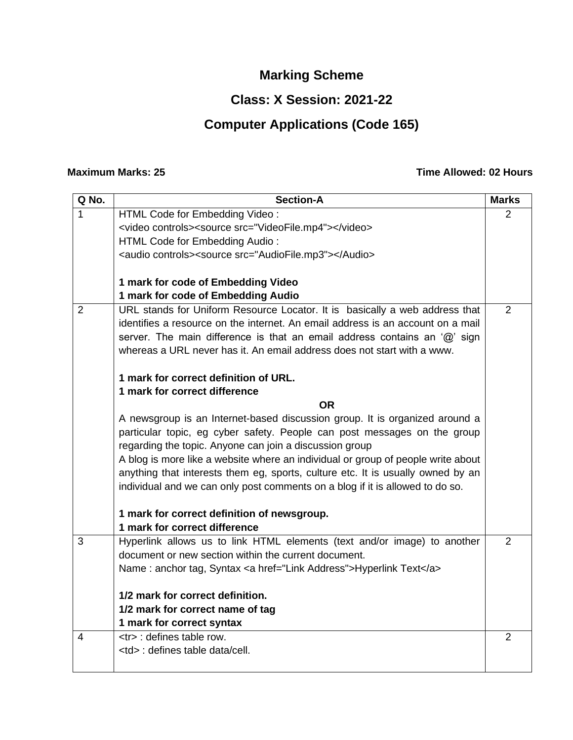# **Marking Scheme**

### **Class: X Session: 2021-22**

# **Computer Applications (Code 165)**

#### **Maximum Marks: 25 Time Allowed: 02 Hours**

| Q No.          | <b>Section-A</b>                                                                                     | <b>Marks</b>               |  |
|----------------|------------------------------------------------------------------------------------------------------|----------------------------|--|
| $\mathbf 1$    | HTML Code for Embedding Video:                                                                       | 2                          |  |
|                | <video controls=""><source src="VideoFile.mp4"/></video>                                             |                            |  |
|                | HTML Code for Embedding Audio:                                                                       |                            |  |
|                | <audio controls=""><source src="AudioFile.mp3"/></audio>                                             |                            |  |
|                |                                                                                                      |                            |  |
|                | 1 mark for code of Embedding Video                                                                   |                            |  |
|                | 1 mark for code of Embedding Audio                                                                   |                            |  |
| $\overline{2}$ | URL stands for Uniform Resource Locator. It is basically a web address that                          | 2                          |  |
|                | identifies a resource on the internet. An email address is an account on a mail                      |                            |  |
|                | server. The main difference is that an email address contains an $\langle \hat{\omega} \rangle$ sign |                            |  |
|                | whereas a URL never has it. An email address does not start with a www.                              |                            |  |
|                | 1 mark for correct definition of URL.                                                                |                            |  |
|                | 1 mark for correct difference                                                                        |                            |  |
| <b>OR</b>      |                                                                                                      |                            |  |
|                | A newsgroup is an Internet-based discussion group. It is organized around a                          |                            |  |
|                | particular topic, eg cyber safety. People can post messages on the group                             |                            |  |
|                | regarding the topic. Anyone can join a discussion group                                              |                            |  |
|                | A blog is more like a website where an individual or group of people write about                     |                            |  |
|                | anything that interests them eg, sports, culture etc. It is usually owned by an                      |                            |  |
|                | individual and we can only post comments on a blog if it is allowed to do so.                        |                            |  |
|                |                                                                                                      |                            |  |
|                | 1 mark for correct definition of newsgroup.                                                          |                            |  |
|                | 1 mark for correct difference                                                                        |                            |  |
| $\overline{3}$ | Hyperlink allows us to link HTML elements (text and/or image) to another                             | $\overline{2}$             |  |
|                | document or new section within the current document.                                                 |                            |  |
|                | Name: anchor tag, Syntax < a href="Link Address">Hyperlink Text                                      |                            |  |
|                | 1/2 mark for correct definition.                                                                     |                            |  |
|                | 1/2 mark for correct name of tag                                                                     |                            |  |
|                | 1 mark for correct syntax                                                                            |                            |  |
| 4              | <tr> : defines table row.</tr>                                                                       | $\overline{2}$             |  |
|                |                                                                                                      |                            |  |
|                | <td> : defines table data/cell.</td>                                                                 | : defines table data/cell. |  |
|                |                                                                                                      |                            |  |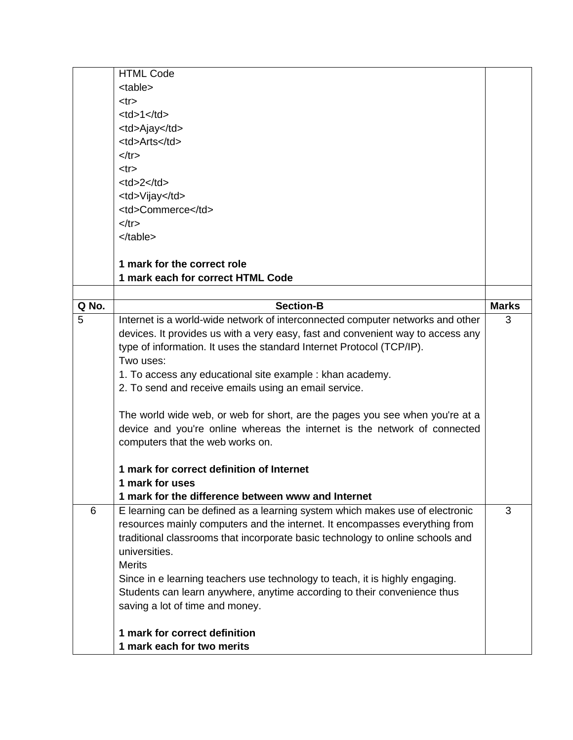|  | <b>HTML Code</b>     |          |  |
|--|----------------------|----------|--|
|  | <table></table>      |          |  |
|  | $<$ tr $>$           |          |  |
|  | $<$ td>1 $<$ /td>    |          |  |
|  | <td>Ajay</td>        | Ajay     |  |
|  | <td>Arts</td>        | Arts     |  |
|  | $\langle tr \rangle$ |          |  |
|  | $<$ tr $>$           |          |  |
|  | $<$ td>2 $<$ /td>    |          |  |
|  | <td>Vijay</td>       | Vijay    |  |
|  | <td>Commerce</td>    | Commerce |  |
|  | $\langle tr \rangle$ |          |  |
|  |                      |          |  |

  ||  |  |  |
|  | 1 mark for the correct role |  |
|  | 1 mark each for correct HTML Code |  |
|  |  |  |
| Q No. | **Section-B** | **Marks** |
| 5 | Internet is a world-wide network of interconnected computer networks and other | 3 |
|  | devices. It provides us with a very easy, fast and convenient way to access any |  |
|  | type of information. It uses the standard Internet Protocol (TCP/IP). |  |
|  | Two uses: |  |
|  | 1. To access any educational site example : khan academy. |  |
|  | 2. To send and receive emails using an email service. |  |
|  |  |  |
|  | The world wide web, or web for short, are the pages you see when you're at a |  |
|  | device and you're online whereas the internet is the network of connected |  |
|  | computers that the web works on. |  |
|  |  |  |
|  | 1 mark for correct definition of Internet |  |
|  | 1 mark for uses |  |
|  | 1 mark for the difference between www and Internet |  |
| 6 | E learning can be defined as a learning system which makes use of electronic | 3 |
|  | resources mainly computers and the internet. It encompasses everything from |  |
|  | traditional classrooms that incorporate basic technology to online schools and |  |
|  | universities. |  |
|  | **Merits** |  |
|  | Since in e learning teachers use technology to teach, it is highly engaging. |  |
|  | Students can learn anywhere, anytime according to their convenience thus |  |
|  | saving a lot of time and money. |  |
|  | 1 mark for correct definition |  |
|  | 1 mark each for two merits |  |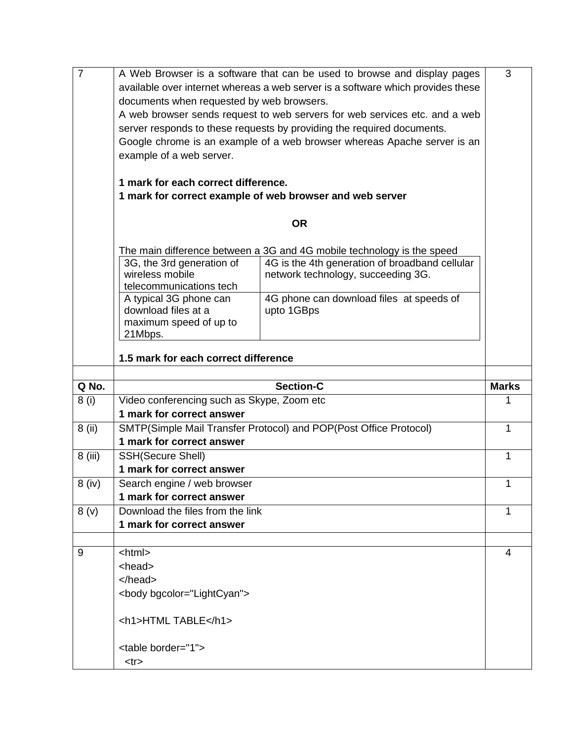| $\overline{7}$ | A Web Browser is a software that can be used to browse and display pages                        |                                                                        |              |  |  |
|----------------|-------------------------------------------------------------------------------------------------|------------------------------------------------------------------------|--------------|--|--|
|                | available over internet whereas a web server is a software which provides these                 |                                                                        |              |  |  |
|                | documents when requested by web browsers.                                                       |                                                                        |              |  |  |
|                | A web browser sends request to web servers for web services etc. and a web                      |                                                                        |              |  |  |
|                | server responds to these requests by providing the required documents.                          |                                                                        |              |  |  |
|                |                                                                                                 |                                                                        |              |  |  |
|                | Google chrome is an example of a web browser whereas Apache server is an                        |                                                                        |              |  |  |
|                | example of a web server.                                                                        |                                                                        |              |  |  |
|                |                                                                                                 |                                                                        |              |  |  |
|                | 1 mark for each correct difference.<br>1 mark for correct example of web browser and web server |                                                                        |              |  |  |
|                |                                                                                                 |                                                                        |              |  |  |
|                | <b>OR</b>                                                                                       |                                                                        |              |  |  |
|                |                                                                                                 |                                                                        |              |  |  |
|                |                                                                                                 | The main difference between a 3G and 4G mobile technology is the speed |              |  |  |
|                | 3G, the 3rd generation of                                                                       | 4G is the 4th generation of broadband cellular                         |              |  |  |
|                | wireless mobile                                                                                 | network technology, succeeding 3G.                                     |              |  |  |
|                | telecommunications tech                                                                         |                                                                        |              |  |  |
|                | A typical 3G phone can                                                                          | 4G phone can download files at speeds of                               |              |  |  |
|                | download files at a                                                                             | upto 1GBps                                                             |              |  |  |
|                | maximum speed of up to                                                                          |                                                                        |              |  |  |
|                | 21Mbps.                                                                                         |                                                                        |              |  |  |
|                | 1.5 mark for each correct difference                                                            |                                                                        |              |  |  |
|                |                                                                                                 |                                                                        |              |  |  |
|                |                                                                                                 |                                                                        |              |  |  |
|                |                                                                                                 |                                                                        |              |  |  |
| Q No.          |                                                                                                 | <b>Section-C</b>                                                       | <b>Marks</b> |  |  |
| 8(i)           | Video conferencing such as Skype, Zoom etc                                                      |                                                                        | 1            |  |  |
|                | 1 mark for correct answer                                                                       |                                                                        |              |  |  |
| 8 (ii)         | SMTP(Simple Mail Transfer Protocol) and POP(Post Office Protocol)                               |                                                                        | 1            |  |  |
|                | 1 mark for correct answer                                                                       |                                                                        |              |  |  |
| 8 (iii)        | <b>SSH(Secure Shell)</b>                                                                        |                                                                        | 1            |  |  |
|                | 1 mark for correct answer                                                                       |                                                                        |              |  |  |
| $8$ (iv)       | Search engine / web browser                                                                     |                                                                        | 1            |  |  |
|                | 1 mark for correct answer                                                                       |                                                                        |              |  |  |
| 8(y)           | Download the files from the link                                                                |                                                                        | 1            |  |  |
|                | 1 mark for correct answer                                                                       |                                                                        |              |  |  |
|                |                                                                                                 |                                                                        |              |  |  |
| 9              | <html></html>                                                                                   |                                                                        | 4            |  |  |
|                | <head></head>                                                                                   |                                                                        |              |  |  |
|                |                                                                                                 |                                                                        |              |  |  |
|                | <body bgcolor="LightCyan"></body>                                                               |                                                                        |              |  |  |
|                |                                                                                                 |                                                                        |              |  |  |
|                | <h1>HTMLTABLE</h1>                                                                              |                                                                        |              |  |  |
|                |                                                                                                 |                                                                        |              |  |  |
|                | <table border="1"><br/><tr></tr></table>                                                        |                                                                        |              |  |  |
|                |                                                                                                 |                                                                        |              |  |  |